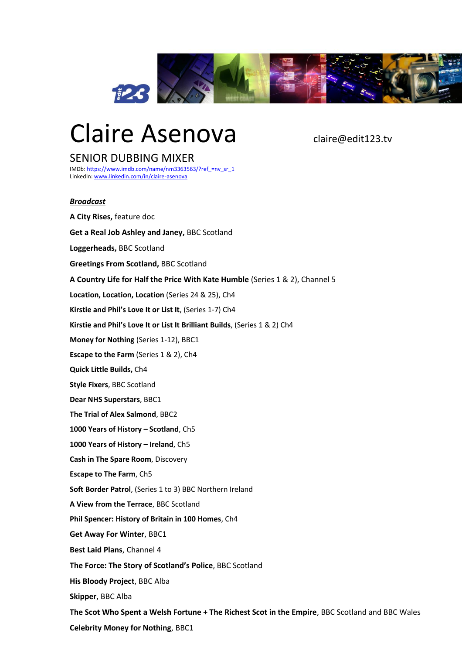

# Claire Asenova claire@edit123.tv

# SENIOR DUBBING MIXER

IMDb[: https://www.imdb.com/name/nm3363563/?ref\\_=nv\\_sr\\_1](https://www.imdb.com/name/nm3363563/?ref_=nv_sr_1) LinkedIn[: www.linkedin.com/in/claire-asenova](http://www.linkedin.com/in/claire-asenova)

## *Broadcast*

**A City Rises,** feature doc **Get a Real Job Ashley and Janey,** BBC Scotland **Loggerheads,** BBC Scotland **Greetings From Scotland,** BBC Scotland **A Country Life for Half the Price With Kate Humble** (Series 1 & 2), Channel 5 **Location, Location, Location** (Series 24 & 25), Ch4 **Kirstie and Phil's Love It or List It**, (Series 1-7) Ch4 **Kirstie and Phil's Love It or List It Brilliant Builds**, (Series 1 & 2) Ch4 **Money for Nothing** (Series 1-12), BBC1 **Escape to the Farm** (Series 1 & 2), Ch4 **Quick Little Builds,** Ch4 **Style Fixers**, BBC Scotland **Dear NHS Superstars**, BBC1 **The Trial of Alex Salmond**, BBC2 **1000 Years of History – Scotland**, Ch5 **1000 Years of History – Ireland**, Ch5 **Cash in The Spare Room**, Discovery **Escape to The Farm**, Ch5 **Soft Border Patrol**, (Series 1 to 3) BBC Northern Ireland **A View from the Terrace**, BBC Scotland **Phil Spencer: History of Britain in 100 Homes**, Ch4 **Get Away For Winter**, BBC1 **Best Laid Plans**, Channel 4 **The Force: The Story of Scotland's Police**, BBC Scotland **His Bloody Project**, BBC Alba **Skipper**, BBC Alba **The Scot Who Spent a Welsh Fortune + The Richest Scot in the Empire**, BBC Scotland and BBC Wales **Celebrity Money for Nothing**, BBC1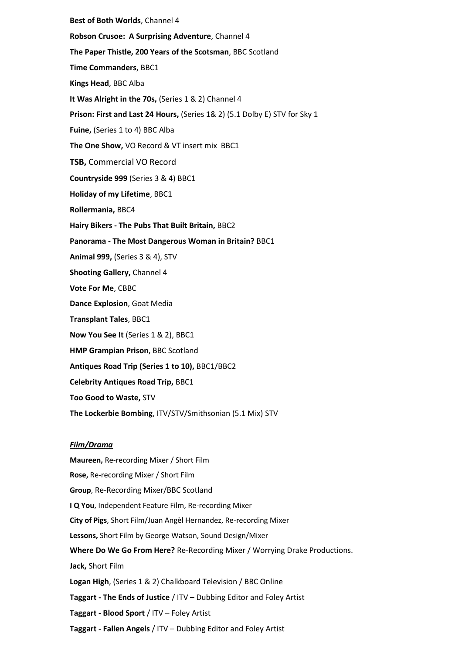**Best of Both Worlds**, Channel 4 **Robson Crusoe: A Surprising Adventure**, Channel 4 **The Paper Thistle, 200 Years of the Scotsman**, BBC Scotland **Time Commanders**, BBC1 **Kings Head**, BBC Alba **It Was Alright in the 70s,** (Series 1 & 2) Channel 4 **Prison: First and Last 24 Hours,** (Series 1& 2) (5.1 Dolby E) STV for Sky 1 **Fuine,** (Series 1 to 4) BBC Alba **The One Show,** VO Record & VT insert mix BBC1 **TSB,** Commercial VO Record **Countryside 999** (Series 3 & 4) BBC1 **Holiday of my Lifetime**, BBC1 **Rollermania,** BBC4 **Hairy Bikers - The Pubs That Built Britain,** BBC2 **Panorama - The Most Dangerous Woman in Britain?** BBC1 **Animal 999,** (Series 3 & 4), STV **Shooting Gallery,** Channel 4 **Vote For Me**, CBBC **Dance Explosion**, Goat Media **Transplant Tales**, BBC1 **Now You See It** (Series 1 & 2), BBC1 **HMP Grampian Prison**, BBC Scotland **Antiques Road Trip (Series 1 to 10),** BBC1/BBC2 **Celebrity Antiques Road Trip,** BBC1 **Too Good to Waste,** STV **The Lockerbie Bombing**, ITV/STV/Smithsonian (5.1 Mix) STV *Film/Drama*

**Maureen,** Re-recording Mixer / Short Film **Rose,** Re-recording Mixer / Short Film **Group**, Re-Recording Mixer/BBC Scotland **I Q You**, Independent Feature Film, Re-recording Mixer **City of Pigs**, Short Film/Juan Angèl Hernandez, Re-recording Mixer **Lessons,** Short Film by George Watson, Sound Design/Mixer **Where Do We Go From Here?** Re-Recording Mixer / Worrying Drake Productions. **Jack,** Short Film **Logan High**, (Series 1 & 2) Chalkboard Television / BBC Online **Taggart - The Ends of Justice** / ITV – Dubbing Editor and Foley Artist **Taggart - Blood Sport** / ITV – Foley Artist **Taggart - Fallen Angels** / ITV – Dubbing Editor and Foley Artist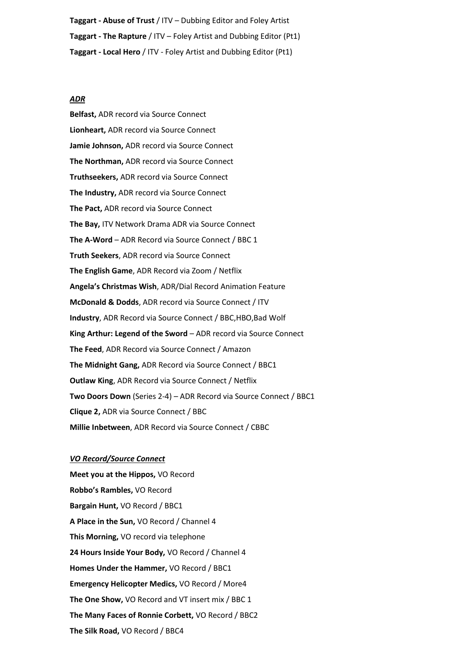**Taggart - Abuse of Trust** / ITV – Dubbing Editor and Foley Artist **Taggart - The Rapture** / ITV – Foley Artist and Dubbing Editor (Pt1) **Taggart - Local Hero** / ITV - Foley Artist and Dubbing Editor (Pt1)

### *ADR*

**Belfast,** ADR record via Source Connect **Lionheart,** ADR record via Source Connect **Jamie Johnson,** ADR record via Source Connect **The Northman,** ADR record via Source Connect **Truthseekers,** ADR record via Source Connect **The Industry,** ADR record via Source Connect **The Pact,** ADR record via Source Connect **The Bay,** ITV Network Drama ADR via Source Connect **The A-Word** – ADR Record via Source Connect / BBC 1 **Truth Seekers**, ADR record via Source Connect **The English Game**, ADR Record via Zoom / Netflix **Angela's Christmas Wish**, ADR/Dial Record Animation Feature **McDonald & Dodds**, ADR record via Source Connect / ITV **Industry**, ADR Record via Source Connect / BBC,HBO,Bad Wolf **King Arthur: Legend of the Sword** – ADR record via Source Connect **The Feed**, ADR Record via Source Connect / Amazon **The Midnight Gang,** ADR Record via Source Connect / BBC1 **Outlaw King**, ADR Record via Source Connect / Netflix **Two Doors Down** (Series 2-4) – ADR Record via Source Connect / BBC1 **Clique 2,** ADR via Source Connect / BBC **Millie Inbetween**, ADR Record via Source Connect / CBBC

### *VO Record/Source Connect*

**Meet you at the Hippos,** VO Record **Robbo's Rambles,** VO Record **Bargain Hunt,** VO Record / BBC1 **A Place in the Sun,** VO Record / Channel 4 **This Morning,** VO record via telephone **24 Hours Inside Your Body,** VO Record / Channel 4 **Homes Under the Hammer,** VO Record / BBC1 **Emergency Helicopter Medics,** VO Record / More4 **The One Show,** VO Record and VT insert mix / BBC 1 **The Many Faces of Ronnie Corbett,** VO Record / BBC2 **The Silk Road,** VO Record / BBC4